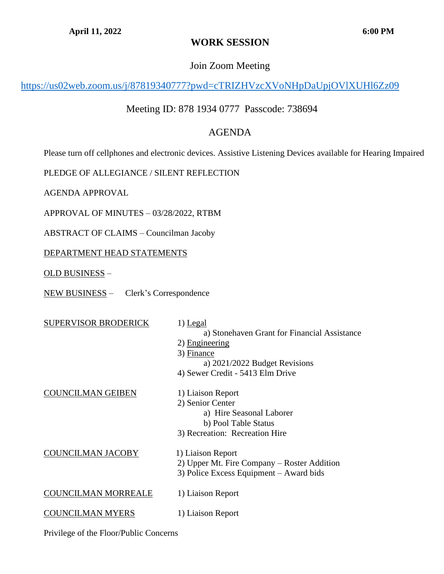# **WORK SESSION**

## Join Zoom Meeting

<https://us02web.zoom.us/j/87819340777?pwd=cTRIZHVzcXVoNHpDaUpjOVlXUHl6Zz09>

# Meeting ID: 878 1934 0777 Passcode: 738694

## AGENDA

Please turn off cellphones and electronic devices. Assistive Listening Devices available for Hearing Impaired

PLEDGE OF ALLEGIANCE / SILENT REFLECTION

AGENDA APPROVAL

APPROVAL OF MINUTES – 03/28/2022, RTBM

ABSTRACT OF CLAIMS – Councilman Jacoby

### DEPARTMENT HEAD STATEMENTS

OLD BUSINESS –

NEW BUSINESS – Clerk's Correspondence

| <b>SUPERVISOR BRODERICK</b> | 1) Legal<br>a) Stonehaven Grant for Financial Assistance<br>2) Engineering<br>3) Finance<br>a) $2021/2022$ Budget Revisions<br>4) Sewer Credit - 5413 Elm Drive |
|-----------------------------|-----------------------------------------------------------------------------------------------------------------------------------------------------------------|
| COUNCILMAN GEIBEN           | 1) Liaison Report<br>2) Senior Center<br>a) Hire Seasonal Laborer<br>b) Pool Table Status<br>3) Recreation: Recreation Hire                                     |
| <u>COUNCILMAN JACOBY</u>    | 1) Liaison Report<br>2) Upper Mt. Fire Company – Roster Addition<br>3) Police Excess Equipment – Award bids                                                     |
| COUNCILMAN MORREALE         | 1) Liaison Report                                                                                                                                               |
| OUNCILMAN MYERS             | 1) Liaison Report                                                                                                                                               |

Privilege of the Floor/Public Concerns